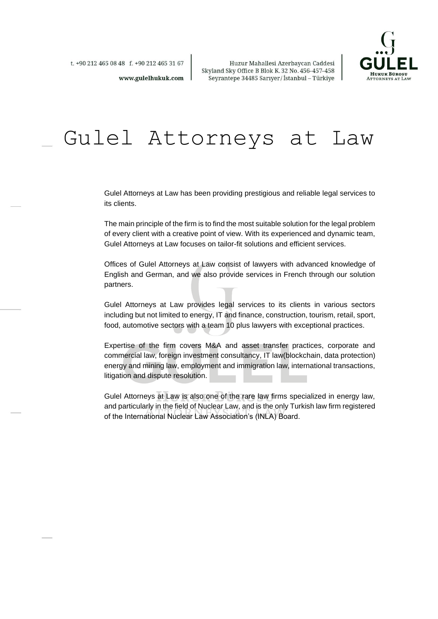

Huzur Mahallesi Azerbaycan Caddesi Skyland Sky Office B Blok K. 32 No. 456-457-458 Seyrantepe 34485 Sarıyer/İstanbul - Türkiye

t. +90 212 465 08 48 f. +90 212 465 31 67

www.gulelhukuk.com

# Gulel Attorneys at Law

Gulel Attorneys at Law has been providing prestigious and reliable legal services to its clients.

The main principle of the firm is to find the most suitable solution for the legal problem of every client with a creative point of view. With its experienced and dynamic team, Gulel Attorneys at Law focuses on tailor-fit solutions and efficient services.

Offices of Gulel Attorneys at Law consist of lawyers with advanced knowledge of English and German, and we also provide services in French through our solution partners.

Gulel Attorneys at Law provides legal services to its clients in various sectors including but not limited to energy, IT and finance, construction, tourism, retail, sport, food, automotive sectors with a team 10 plus lawyers with exceptional practices.

Expertise of the firm covers M&A and asset transfer practices, corporate and commercial law, foreign investment consultancy, IT law(blockchain, data protection) energy and mining law, employment and immigration law, international transactions, litigation and dispute resolution.

Gulel Attorneys at Law is also one of the rare law firms specialized in energy law, and particularly in the field of Nuclear Law, and is the only Turkish law firm registered of the International Nuclear Law Association's (INLA) Board.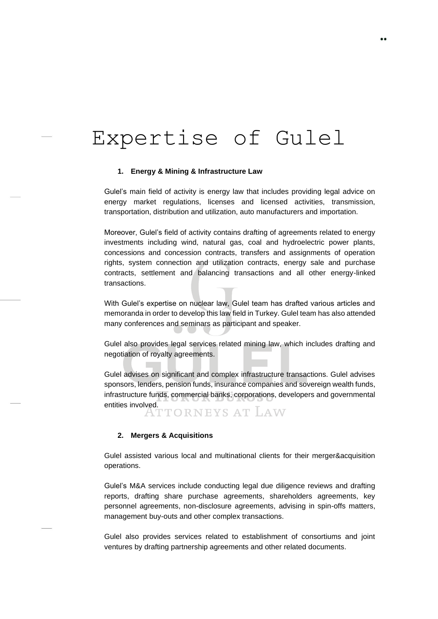# Expertise of Gulel

#### **1. Energy & Mining & Infrastructure Law**

Gulel's main field of activity is energy law that includes providing legal advice on energy market regulations, licenses and licensed activities, transmission, transportation, distribution and utilization, auto manufacturers and importation.

Moreover, Gulel's field of activity contains drafting of agreements related to energy investments including wind, natural gas, coal and hydroelectric power plants, concessions and concession contracts, transfers and assignments of operation rights, system connection and utilization contracts, energy sale and purchase contracts, settlement and balancing transactions and all other energy-linked transactions.

With Gulel's expertise on nuclear law, Gulel team has drafted various articles and memoranda in order to develop this law field in Turkey. Gulel team has also attended many conferences and seminars as participant and speaker.

Gulel also provides legal services related mining law, which includes drafting and negotiation of royalty agreements.

Gulel advises on significant and complex infrastructure transactions. Gulel advises sponsors, lenders, pension funds, insurance companies and sovereign wealth funds, infrastructure funds, commercial banks, corporations, developers and governmental entities involved.<br>TTORNEYS AT LAW

#### **2. Mergers & Acquisitions**

Gulel assisted various local and multinational clients for their merger&acquisition operations.

Gulel's M&A services include conducting legal due diligence reviews and drafting reports, drafting share purchase agreements, shareholders agreements, key personnel agreements, non-disclosure agreements, advising in spin-offs matters, management buy-outs and other complex transactions.

Gulel also provides services related to establishment of consortiums and joint ventures by drafting partnership agreements and other related documents.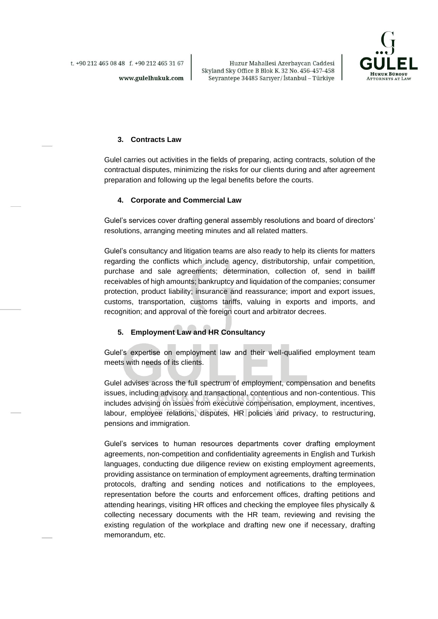t. +90 212 465 08 48 f. +90 212 465 31 67

Huzur Mahallesi Azerbaycan Caddesi Skyland Sky Office B Blok K.32 No. 456-457-458 Seyrantepe 34485 Sarıyer/İstanbul - Türkiye



#### **3. Contracts Law**

www.gulelhukuk.com

Gulel carries out activities in the fields of preparing, acting contracts, solution of the contractual disputes, minimizing the risks for our clients during and after agreement preparation and following up the legal benefits before the courts.

#### **4. Corporate and Commercial Law**

Gulel's services cover drafting general assembly resolutions and board of directors' resolutions, arranging meeting minutes and all related matters.

Gulel's consultancy and litigation teams are also ready to help its clients for matters regarding the conflicts which include agency, distributorship, unfair competition, purchase and sale agreements; determination, collection of, send in bailiff receivables of high amounts; bankruptcy and liquidation of the companies; consumer protection, product liability; insurance and reassurance; import and export issues, customs, transportation, customs tariffs, valuing in exports and imports, and recognition; and approval of the foreign court and arbitrator decrees.

#### **5. Employment Law and HR Consultancy**

Gulel's expertise on employment law and their well-qualified employment team meets with needs of its clients.

Gulel advises across the full spectrum of employment, compensation and benefits issues, including advisory and transactional, contentious and non-contentious. This includes advising on issues from executive compensation, employment, incentives, labour, employee relations, disputes, HR policies and privacy, to restructuring, pensions and immigration.

Gulel's services to human resources departments cover drafting employment agreements, non-competition and confidentiality agreements in English and Turkish languages, conducting due diligence review on existing employment agreements, providing assistance on termination of employment agreements, drafting termination protocols, drafting and sending notices and notifications to the employees, representation before the courts and enforcement offices, drafting petitions and attending hearings, visiting HR offices and checking the employee files physically & collecting necessary documents with the HR team, reviewing and revising the existing regulation of the workplace and drafting new one if necessary, drafting memorandum, etc.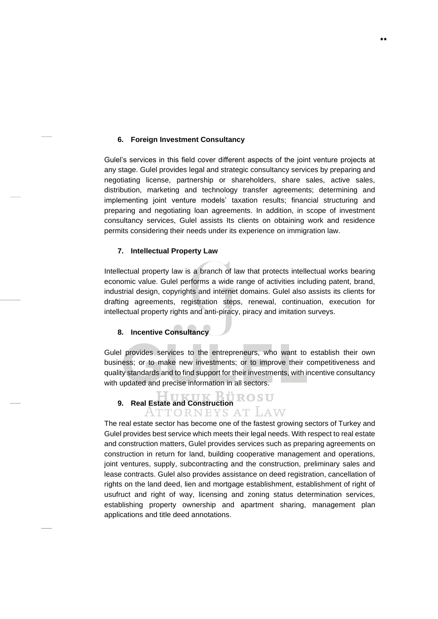#### **6. Foreign Investment Consultancy**

Gulel's services in this field cover different aspects of the joint venture projects at any stage. Gulel provides legal and strategic consultancy services by preparing and negotiating license, partnership or shareholders, share sales, active sales, distribution, marketing and technology transfer agreements; determining and implementing joint venture models' taxation results; financial structuring and preparing and negotiating loan agreements. In addition, in scope of investment consultancy services, Gulel assists Its clients on obtaining work and residence permits considering their needs under its experience on immigration law.

#### **7. Intellectual Property Law**

Intellectual property law is a branch of law that protects intellectual works bearing economic value. Gulel performs a wide range of activities including patent, brand, industrial design, copyrights and internet domains. Gulel also assists its clients for drafting agreements, registration steps, renewal, continuation, execution for intellectual property rights and anti-piracy, piracy and imitation surveys.

#### **8. Incentive Consultancy**

Gulel provides services to the entrepreneurs, who want to establish their own business; or to make new investments; or to improve their competitiveness and quality standards and to find support for their investments, with incentive consultancy with updated and precise information in all sectors.

# **9. Real Estate and Construction**<br>**ATTORNEYS AT LAW**

The real estate sector has become one of the fastest growing sectors of Turkey and Gulel provides best service which meets their legal needs. With respect to real estate and construction matters, Gulel provides services such as preparing agreements on construction in return for land, building cooperative management and operations, joint ventures, supply, subcontracting and the construction, preliminary sales and lease contracts. Gulel also provides assistance on deed registration, cancellation of rights on the land deed, lien and mortgage establishment, establishment of right of usufruct and right of way, licensing and zoning status determination services, establishing property ownership and apartment sharing, management plan applications and title deed annotations.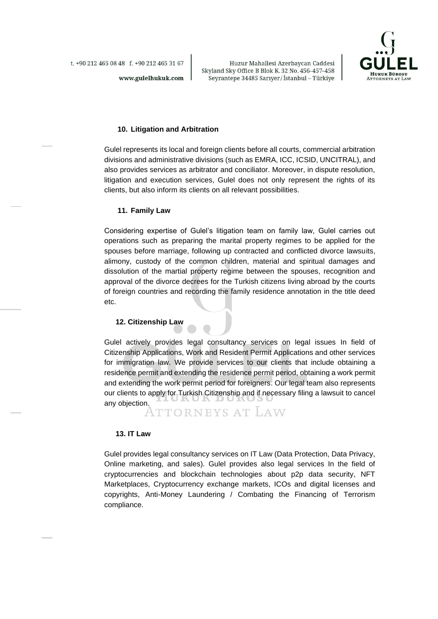www.gulelhukuk.com



#### **10. Litigation and Arbitration**

Gulel represents its local and foreign clients before all courts, commercial arbitration divisions and administrative divisions (such as EMRA, ICC, ICSID, UNCITRAL), and also provides services as arbitrator and conciliator. Moreover, in dispute resolution, litigation and execution services, Gulel does not only represent the rights of its clients, but also inform its clients on all relevant possibilities.

#### **11. Family Law**

Considering expertise of Gulel's litigation team on family law, Gulel carries out operations such as preparing the marital property regimes to be applied for the spouses before marriage, following up contracted and conflicted divorce lawsuits, alimony, custody of the common children, material and spiritual damages and dissolution of the martial property regime between the spouses, recognition and approval of the divorce decrees for the Turkish citizens living abroad by the courts of foreign countries and recording the family residence annotation in the title deed etc.

#### **12. Citizenship Law**

Gulel actively provides legal consultancy services on legal issues In field of Citizenship Applications, Work and Resident Permit Applications and other services for immigration law. We provide services to our clients that include obtaining a residence permit and extending the residence permit period, obtaining a work permit and extending the work permit period for foreigners. Our legal team also represents our clients to apply for Turkish Citizenship and if necessary filing a lawsuit to cancel any objection.

TTORNEYS AT LAW

#### **13. IT Law**

Gulel provides legal consultancy services on IT Law (Data Protection, Data Privacy, Online marketing, and sales). Gulel provides also legal services In the field of cryptocurrencies and blockchain technologies about p2p data security, NFT Marketplaces, Cryptocurrency exchange markets, ICOs and digital licenses and copyrights, Anti-Money Laundering / Combating the Financing of Terrorism compliance.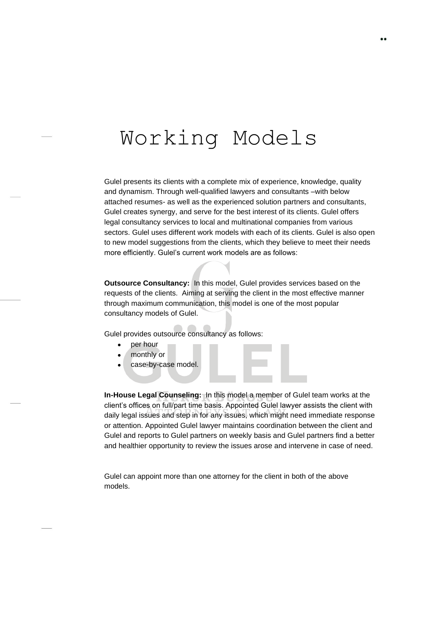# Working Models

Gulel presents its clients with a complete mix of experience, knowledge, quality and dynamism. Through well-qualified lawyers and consultants –with below attached resumes- as well as the experienced solution partners and consultants, Gulel creates synergy, and serve for the best interest of its clients. Gulel offers legal consultancy services to local and multinational companies from various sectors. Gulel uses different work models with each of its clients. Gulel is also open to new model suggestions from the clients, which they believe to meet their needs more efficiently. Gulel's current work models are as follows:

**Outsource Consultancy:** In this model, Gulel provides services based on the requests of the clients. Aiming at serving the client in the most effective manner through maximum communication, this model is one of the most popular consultancy models of Gulel.

Gulel provides outsource consultancy as follows:

- per hour
- monthly or
- case-by-case model.

**In-House Legal Counseling:** In this model a member of Gulel team works at the client's offices on full/part time basis. Appointed Gulel lawyer assists the client with daily legal issues and step in for any issues, which might need immediate response or attention. Appointed Gulel lawyer maintains coordination between the client and Gulel and reports to Gulel partners on weekly basis and Gulel partners find a better and healthier opportunity to review the issues arose and intervene in case of need.

Gulel can appoint more than one attorney for the client in both of the above models.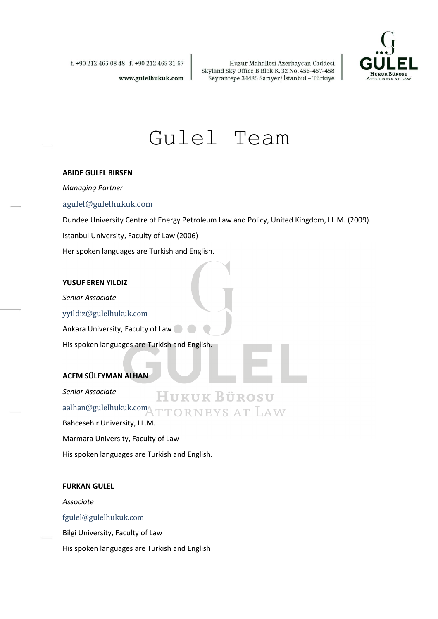

t. +90 212 465 08 48 f. +90 212 465 31 67

www.gulelhukuk.com

Huzur Mahallesi Azerbaycan Caddesi Skyland Sky Office B Blok K. 32 No. 456-457-458 Seyrantepe 34485 Sarıyer/İstanbul – Türkiye

Gulel Team

#### **ABIDE GULEL BIRSEN**

*Managing Partner*

#### [agulel@gulelhukuk.com](mailto:agulel@gulelhukuk.com)

Dundee University Centre of Energy Petroleum Law and Policy, United Kingdom, LL.M. (2009).

Istanbul University, Faculty of Law (2006)

Her spoken languages are Turkish and English.

#### **YUSUF EREN YILDIZ**

*Senior Associate* 

[yyildiz@gulelhukuk.com](mailto:yyildiz@gulelhukuk.com)

Ankara University, Faculty of Law

His spoken languages are Turkish and English.

#### **ACEM SÜLEYMAN ALHAN**

*Senior Associate*  **HUKUK BÜROSU** [aalhan@gulelhukuk.com](mailto:aalhan@gulelhukuk.com)\TTORNEYS AT LAW Bahcesehir University, LL.M. Marmara University, Faculty of Law

His spoken languages are Turkish and English.

#### **FURKAN GULEL**

*Associate*

[fgulel@gulelhukuk.com](mailto:fgulel@gulelhukuk.com)

Bilgi University, Faculty of Law

His spoken languages are Turkish and English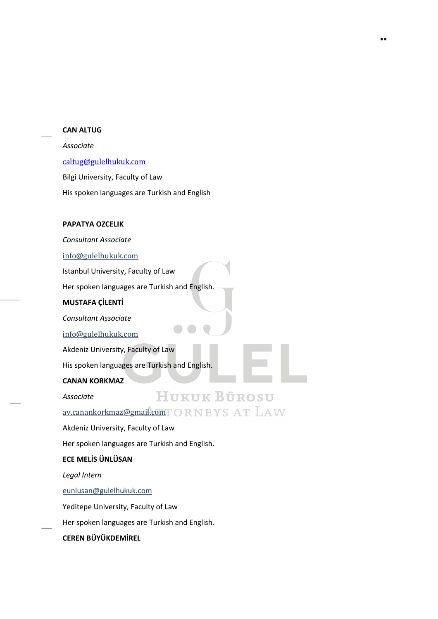#### **CAN ALTUG**

#### *Associate*

[caltug@gulelhukuk.com](mailto:caltug@gulelhukuk.com)

Bilgi University, Faculty of Law

His spoken languages are Turkish and English

#### **PAPATYA OZCELIK**

*Consultant Associate* 

[info@gulelhukuk.com](mailto:info@gulelhukuk.com)

Istanbul University, Faculty of Law

Her spoken languages are Turkish and English.

#### **MUSTAFA ÇİLENTİ**

*Consultant Associate*

[info@gulelhukuk.com](mailto:info@gulelhukuk.com)

Akdeniz University, Faculty of Law

His spoken languages are Turkish and English.

#### **CANAN KORKMAZ**

*Associate*

HUKUK BÜROSU

[av.canankorkmaz@gmail.com](mailto:av.canankorkmaz@gmail.com)TORNEYSATLAW

Akdeniz University, Faculty of Law

Her spoken languages are Turkish and English.

#### **ECE MELİS ÜNLÜSAN**

*Legal Intern* 

[eunlusan@gulelhukuk.com](mailto:eunlusan@gulelhukuk.com)

Yeditepe University, Faculty of Law

Her spoken languages are Turkish and English.

#### **CEREN BÜYÜKDEMİREL**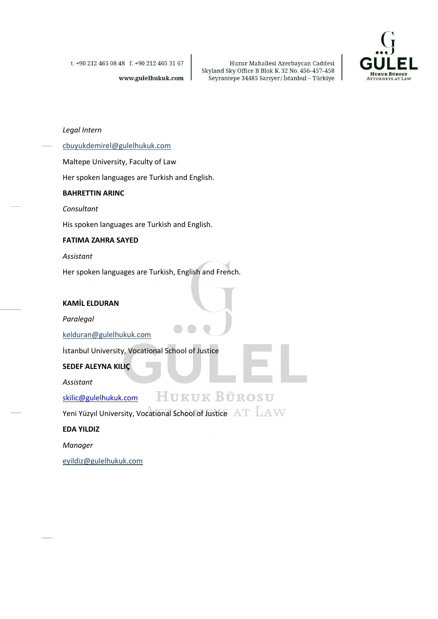t. +90 212 465 08 48 f. +90 212 465 31 67

www.gulelhukuk.com

Huzur Mahallesi Azerbaycan Caddesi Skyland Sky Office B Blok K. 32 No. 456-457-458<br>Seyrantepe 34485 Sarıyer/İstanbul – Türkiye



*Legal Intern* 

[cbuyukdemirel@gulelhukuk.com](mailto:cbuyukdemirel@gulelhukuk.com)

Maltepe University, Faculty of Law

Her spoken languages are Turkish and English.

#### **BAHRETTIN ARINC**

*Consultant*

His spoken languages are Turkish and English.

#### **FATIMA ZAHRA SAYED**

*Assistant*

Her spoken languages are Turkish, English and French.

#### **KAMİL ELDURAN**

*Paralegal*

[kelduran@gulelhukuk.com](mailto:kelduran@gulelhukuk.com)

İstanbul University, Vocational School of Justice

#### **SEDEF ALEYNA KILIÇ**

*Assistant*

[skilic@gulelhukuk.com](mailto:skilic@gulelhukuk.com)

Yeni Yüzyıl University, Vocational School of Justice  $AT$   $\rm LAV$ 

**HUKUK BÜROSU** 

**EDA YILDIZ**

*Manager*

[eyildiz@gulelhukuk.com](mailto:eyildiz@gulelhukuk.com)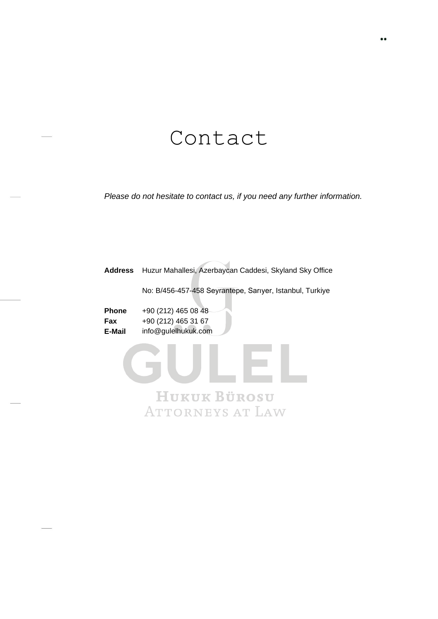### Contact

*Please do not hesitate to contact us, if you need any further information.*

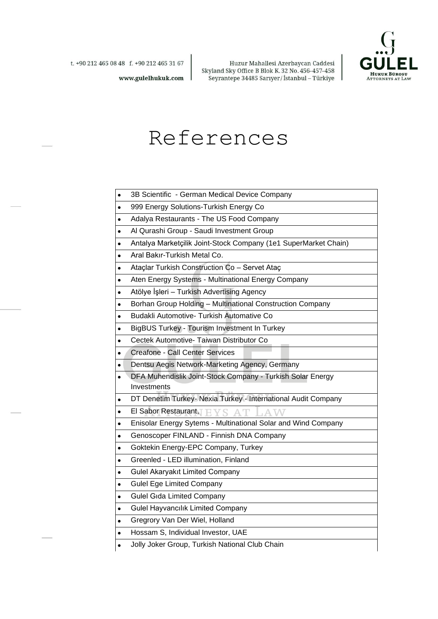

Huzur Mahallesi Azerbaycan Caddesi Skyland Sky Office B Blok K. 32 No. 456-457-458 Seyrantepe 34485 Sarıyer/İstanbul - Türkiye

www.gulelhukuk.com

### References

- 3B Scientific German Medical Device Company
- 999 Energy Solutions-Turkish Energy Co
- Adalya Restaurants The US Food Company
- Al Qurashi Group Saudi Investment Group
- Antalya Marketçilik Joint-Stock Company (1e1 SuperMarket Chain)
- Aral Bakır-Turkish Metal Co.
- Ataçlar Turkish Construction Co Servet Ataç
- Aten Energy Systems Multinational Energy Company
- Atölye İşleri Turkish Advertising Agency
- Borhan Group Holding Multinational Construction Company
- Budakli Automotive- Turkish Automative Co
- BigBUS Turkey Tourism Investment In Turkey
- Cectek Automotive- Taiwan Distributor Co
- Creafone Call Center Services
- Dentsu Aegis Network-Marketing Agency, Germany
- DFA Muhendislik Joint-Stock Company Turkish Solar Energy Investments
- DT Denetim Turkey- Nexia Turkey International Audit Company
- El Sabor Restaurant,  $\Box$ AТ
- Enisolar Energy Sytems Multinational Solar and Wind Company
- Genoscoper FINLAND Finnish DNA Company
- Goktekin Energy-EPC Company, Turkey
- Greenled LED illumination, Finland
- Gulel Akaryakıt Limited Company
- Gulel Ege Limited Company
- Gulel Gıda Limited Company
- Gulel Hayvancılık Limited Company
- Gregrory Van Der Wiel, Holland
- Hossam S, Individual Investor, UAE
- Jolly Joker Group, Turkish National Club Chain